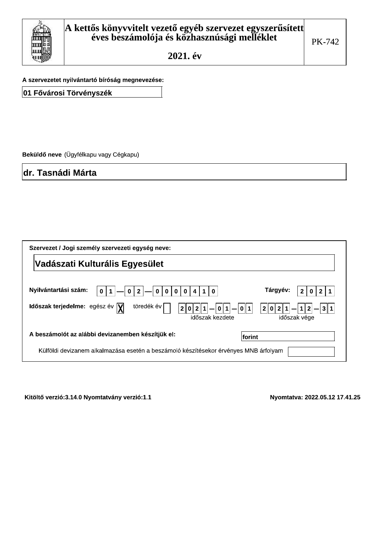

A szervezetet nyilvántartó bíróság megnevezése:

01 Fővárosi Törvényszék

Beküldő neve (Ügyfélkapu vagy Cégkapu)

dr. Tasnádi Márta

| Szervezet / Jogi személy szervezeti egység neve:                                                                |                                                                |
|-----------------------------------------------------------------------------------------------------------------|----------------------------------------------------------------|
| Vadászati Kulturális Egyesület                                                                                  |                                                                |
| Nyilvántartási szám:<br>$\bf{0}$<br>$\Omega$<br>$\mathbf{0}$<br>$\mathbf{0}$<br>$\bf{0}$<br>0<br>0              | Tárgyév:                                                       |
| töredék év<br>Időszak terjedelme: egész év $\bar{y}$<br> 0  2  1 <br>2 <sub>1</sub><br> 0 1 <br>időszak kezdete | 2 0 2<br>3 <sup>  </sup><br>$\mathbf 1$<br>  1<br>időszak vége |
| A beszámolót az alábbi devizanemben készítjük el:                                                               | lforint                                                        |
| Külföldi devizanem alkalmazása esetén a beszámoló készítésekor érvényes MNB árfolyam                            |                                                                |

Kitöltő verzió:3.14.0 Nyomtatvány verzió:1.1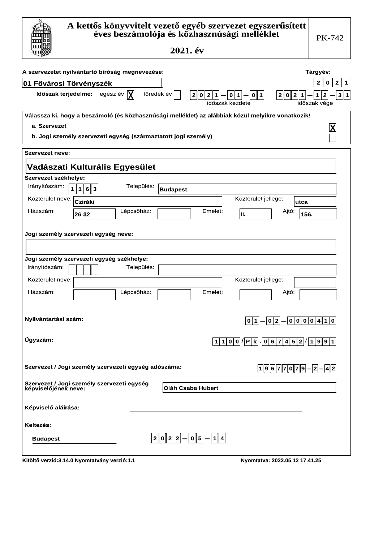|                                               | A kettős könyvvitelt vezető egyéb szervezet egyszerűsített<br>éves beszámolója és közhasznúsági melléklet<br>2021. év                                                                   | PK-742                                                         |
|-----------------------------------------------|-----------------------------------------------------------------------------------------------------------------------------------------------------------------------------------------|----------------------------------------------------------------|
|                                               | A szervezetet nyilvántartó bíróság megnevezése:<br><b>01 Fővárosi Törvényszék</b>                                                                                                       | Tárgyév:<br>$\mathbf{2}$<br>$\mathbf 0$<br>$\overline{2}$<br>1 |
|                                               | Időszak terjedelme: egész év $ \chi $<br>töredék év<br>$2 0 2 1  -  0 1  -  0 1 $<br> 2 0 2 1 <br>időszak kezdete                                                                       | 2  <br>$\mathbf{1}$<br>3 1<br>időszak vége                     |
| a. Szervezet                                  | Válassza ki, hogy a beszámoló (és közhasznúsági melléklet) az alábbiak közül melyikre vonatkozik!<br>b. Jogi személy szervezeti egység (származtatott jogi személy)                     | $ \boldsymbol{\mathsf{X}} $                                    |
| <b>Szervezet neve:</b>                        | Vadászati Kulturális Egyesület                                                                                                                                                          |                                                                |
| Szervezet székhelye:<br>Irányítószám:         | Település:<br>$\mathbf{1}$<br>1 6 3<br><b>Budapest</b>                                                                                                                                  |                                                                |
| Közterület neve:<br>Házszám:                  | Közterület jellege:<br>Cziráki<br>Lépcsőház:<br>Emelet:<br>Ajtó:<br>II.<br>26-32                                                                                                        | utca<br>156.                                                   |
| Irányítószám:<br>Közterület neve:<br>Házszám: | Jogi személy szervezeti egység neve:<br>Jogi személy szervezeti egység székhelye:<br>Település:<br>Közterület jellege:<br>Lépcsőház:<br>Emelet:<br>Ajtó:                                |                                                                |
| Nyilvántartási szám:<br>Ügyszám:              | $ 0 2 $ $  0 0 0 0 4 1 0 $<br> 0 1 <br>$1100$ $\sqrt{Pk}$ $067452$ $1991$                                                                                                               |                                                                |
|                                               | Szervezet / Jogi személy szervezeti egység adószáma:<br>$ 1 9 6 7 7 0 7 9 - 2 - 4 2 $<br>Szervezet / Jogi személy szervezeti egység<br>képviselőjének neve:<br><b>Oláh Csaba Hubert</b> |                                                                |
| Képviselő aláírása:<br>Keltezés:              |                                                                                                                                                                                         |                                                                |
| <b>Budapest</b>                               | $ 2\ 0\ 2\ 2 - 0\ 5 - 1 4 $<br>Kitöltő verzió: 3.14.0 Nyomtatvány verzió: 1.1<br>Nyomtatva: 2022.05.12 17.41.25                                                                         |                                                                |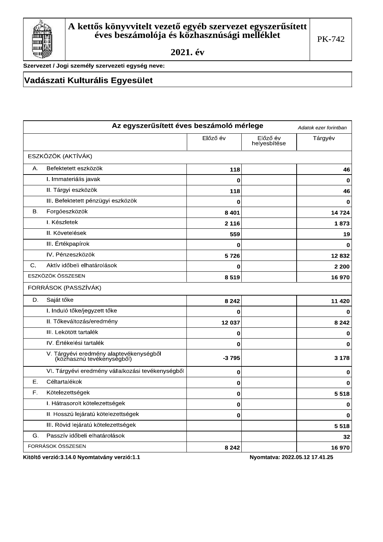

Szervezet / Jogi személy szervezeti egység neve:

### Vadászati Kulturális Egyesület

|                | Az egyszerűsített éves beszámoló mérlege                              |          |                          | Adatok ezer forintban |
|----------------|-----------------------------------------------------------------------|----------|--------------------------|-----------------------|
|                |                                                                       | Előző év | Előző év<br>helyesbítése | Tárgyév               |
|                | ESZKÖZÖK (AKTÍVÁK)                                                    |          |                          |                       |
| А.             | Befektetett eszközök                                                  | 118      |                          | 46                    |
|                | I. Immateriális javak                                                 | 0        |                          | $\mathbf 0$           |
|                | II. Tárgyi eszközök                                                   | 118      |                          | 46                    |
|                | III. Befektetett pénzügyi eszközök                                    | 0        |                          | $\mathbf 0$           |
| В.             | Forgóeszközök                                                         | 8 4 0 1  |                          | 14 724                |
|                | I. Készletek                                                          | 2 1 1 6  |                          | 1873                  |
|                | II. Követelések                                                       | 559      |                          | 19                    |
|                | III. Értékpapírok                                                     | 0        |                          | 0                     |
|                | IV. Pénzeszközök                                                      | 5726     |                          | 12832                 |
| $\mathbf{C}$ . | Aktív időbeli elhatárolások                                           | 0        |                          | 2 2 0 0               |
|                | ESZKÖZÖK ÖSSZESEN                                                     | 8519     |                          | 16970                 |
|                | FORRÁSOK (PASSZÍVÁK)                                                  |          |                          |                       |
| D.             | Saját tőke                                                            | 8 2 4 2  |                          | 11 4 20               |
|                | I. Induló tőke/jegyzett tőke                                          | 0        |                          | 0                     |
|                | II. Tőkeváltozás/eredmény                                             | 12 037   |                          | 8 2 4 2               |
|                | III. Lekötött tartalék                                                | 0        |                          | $\mathbf 0$           |
|                | IV. Értékelési tartalék                                               | 0        |                          | 0                     |
|                | V. Tárgyévi eredmény alaptevékenységből<br>(közhasznú tevékenységből) | $-3795$  |                          | 3 1 7 8               |
|                | VI. Tárgyévi eredmény vállalkozási tevékenységből                     | 0        |                          | 0                     |
| Е.             | Céltartalékok                                                         | 0        |                          | $\mathbf 0$           |
| F.             | Kötelezettségek                                                       | 0        |                          | 5518                  |
|                | I. Hátrasorolt kötelezettségek                                        | 0        |                          | $\mathbf 0$           |
|                | II. Hosszú lejáratú kötelezettségek                                   | 0        |                          | $\mathbf 0$           |
|                | III. Rövid lejáratú kötelezettségek                                   |          |                          | 5518                  |
| G.             | Passzív időbeli elhatárolások                                         |          |                          | 32                    |
|                | FORRÁSOK ÖSSZESEN                                                     | 8 2 4 2  |                          | 16 970                |

Kitöltő verzió:3.14.0 Nyomtatvány verzió:1.1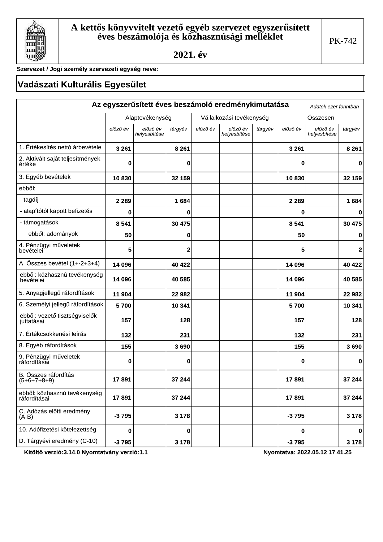

Szervezet / Jogi személy szervezeti egység neve:

## Vadászati Kulturális Egyesület

|                                              |                 |                          |         |          | Az egyszerűsített éves beszámoló eredménykimutatása |         |          | Adatok ezer forintban    |              |
|----------------------------------------------|-----------------|--------------------------|---------|----------|-----------------------------------------------------|---------|----------|--------------------------|--------------|
|                                              | Alaptevékenység |                          |         |          | Vállalkozási tevékenység                            |         |          | Összesen                 |              |
|                                              | előző év        | előző év<br>helyesbítése | tárgyév | előző év | előző év<br>helyesbítése                            | tárgyév | előző év | előző év<br>helyesbítése | tárgyév      |
| 1. Értékesítés nettó árbevétele              | 3 2 6 1         |                          | 8 2 6 1 |          |                                                     |         | 3 2 6 1  |                          | 8 2 6 1      |
| 2. Aktivált saját teljesítmények<br>értéke   | 0               |                          | 0       |          |                                                     |         | 0        |                          | 0            |
| 3. Egyéb bevételek                           | 10830           |                          | 32 159  |          |                                                     |         | 10830    |                          | 32 159       |
| ebből:                                       |                 |                          |         |          |                                                     |         |          |                          |              |
| - tagdíj                                     | 2 2 8 9         |                          | 1684    |          |                                                     |         | 2 2 8 9  |                          | 1684         |
| - alapítótól kapott befizetés                | 0               |                          | 0       |          |                                                     |         | 0        |                          | 0            |
| - támogatások                                | 8 5 4 1         |                          | 30 475  |          |                                                     |         | 8 5 4 1  |                          | 30 475       |
| ebből: adományok                             | 50              |                          | 0       |          |                                                     |         | 50       |                          | 0            |
| 4. Pénzügyi műveletek<br>bevételei           | 5               |                          | 2       |          |                                                     |         | 5        |                          | $\mathbf{2}$ |
| A. Összes bevétel (1+-2+3+4)                 | 14 096          |                          | 40 422  |          |                                                     |         | 14 096   |                          | 40 422       |
| ebből: közhasznú tevékenység<br>bevételei    | 14 096          |                          | 40 585  |          |                                                     |         | 14 096   |                          | 40 585       |
| 5. Anyagjellegű ráfordítások                 | 11 904          |                          | 22 982  |          |                                                     |         | 11 904   |                          | 22 982       |
| 6. Személyi jellegű ráfordítások             | 5700            |                          | 10 341  |          |                                                     |         | 5700     |                          | 10 341       |
| ebből: vezető tisztségviselők<br>juttatásai  | 157             |                          | 128     |          |                                                     |         | 157      |                          | 128          |
| 7. Értékcsökkenési leírás                    | 132             |                          | 231     |          |                                                     |         | 132      |                          | 231          |
| 8. Egyéb ráfordítások                        | 155             |                          | 3690    |          |                                                     |         | 155      |                          | 3690         |
| 9. Pénzügyi műveletek<br>ráfordításai        | 0               |                          | 0       |          |                                                     |         | 0        |                          | 0            |
| B. Összes ráfordítás<br>$(5+6+7+8+9)$        | 17891           |                          | 37 244  |          |                                                     |         | 17891    |                          | 37 244       |
| ebből: közhasznú tevékenység<br>ráfordításai | 17891           |                          | 37 244  |          |                                                     |         | 17891    |                          | 37 244       |
| C. Adózás előtti eredmény<br>$(A-B)$         | $-3795$         |                          | 3 1 7 8 |          |                                                     |         | $-3795$  |                          | 3 1 7 8      |
| 10. Adófizetési kötelezettség                | 0               |                          | 0       |          |                                                     |         | 0        |                          | 0            |
| D. Tárgyévi eredmény (C-10)                  | $-3795$         |                          | 3 1 7 8 |          |                                                     |         | $-3795$  |                          | 3 1 7 8      |

Kitöltő verzió:3.14.0 Nyomtatvány verzió:1.1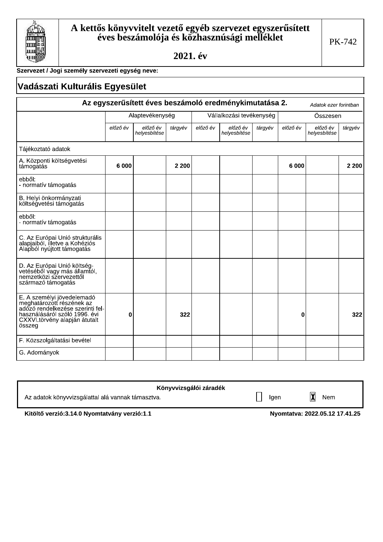

Г

2021. év

### Szervezet / Jogi személy szervezeti egység neve:

|                                                                                                                                                                         | Vadászati Kulturális Egyesület |                          |         |          |                                                        |         |          |                          |         |
|-------------------------------------------------------------------------------------------------------------------------------------------------------------------------|--------------------------------|--------------------------|---------|----------|--------------------------------------------------------|---------|----------|--------------------------|---------|
|                                                                                                                                                                         |                                |                          |         |          | Az egyszerűsített éves beszámoló eredménykimutatása 2. |         |          | Adatok ezer forintban    |         |
|                                                                                                                                                                         |                                | Alaptevékenység          |         |          | Vállalkozási tevékenység                               |         |          | Összesen                 |         |
|                                                                                                                                                                         | előző év                       | előző év<br>helyesbítése | tárgyév | előző év | előző év<br>helyesbítése                               | tárgyév | előző év | előző év<br>helyesbítése | tárgyév |
| Tájékoztató adatok                                                                                                                                                      |                                |                          |         |          |                                                        |         |          |                          |         |
| A. Központi költségvetési<br>támogatás                                                                                                                                  | 6 000                          |                          | 2 2 0 0 |          |                                                        |         | 6 000    |                          | 2 2 0 0 |
| ebből:<br>- normatív támogatás                                                                                                                                          |                                |                          |         |          |                                                        |         |          |                          |         |
| B. Helyi önkormányzati<br>költségvetési támogatás                                                                                                                       |                                |                          |         |          |                                                        |         |          |                          |         |
| ebből:<br>- normatív támogatás                                                                                                                                          |                                |                          |         |          |                                                        |         |          |                          |         |
| C. Az Európai Unió strukturális<br>alapjaiból, illetve a Kohéziós<br>Alapból nyújtott támogatás                                                                         |                                |                          |         |          |                                                        |         |          |                          |         |
| D. Az Európai Unió költség-<br>vetéséből vagy más államtól,<br>nemzetközi szervezettől<br>származó támogatás                                                            |                                |                          |         |          |                                                        |         |          |                          |         |
| E. A személyi jövedelemadó<br>meghatározott részének az<br>adózó rendelkezése szerinti fel-<br>használásáról szóló 1996. évi<br>CXXVI.törvény alapján átutalt<br>összeg | 0                              |                          | 322     |          |                                                        |         | 0        |                          | 322     |
| F. Közszolgáltatási bevétel                                                                                                                                             |                                |                          |         |          |                                                        |         |          |                          |         |
| G. Adományok                                                                                                                                                            |                                |                          |         |          |                                                        |         |          |                          |         |

| Könyvvizsgálói záradék                            |      |     |
|---------------------------------------------------|------|-----|
| Az adatok könyvvizsgálattal alá vannak támasztva. | Iaen | Nem |

Kitöltő verzió: 3.14.0 Nyomtatvány verzió: 1.1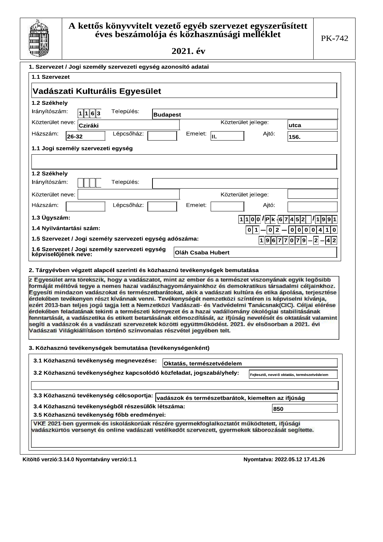

|                                    |                | Vadászati Kulturális Egyesület                                                                                                                                                                                                                                                          |                 |                           |                                                    |                                                                                                                                                                                                                                                                                                                                           |
|------------------------------------|----------------|-----------------------------------------------------------------------------------------------------------------------------------------------------------------------------------------------------------------------------------------------------------------------------------------|-----------------|---------------------------|----------------------------------------------------|-------------------------------------------------------------------------------------------------------------------------------------------------------------------------------------------------------------------------------------------------------------------------------------------------------------------------------------------|
| 1.2 Székhely                       |                |                                                                                                                                                                                                                                                                                         |                 |                           |                                                    |                                                                                                                                                                                                                                                                                                                                           |
| Irányítószám:                      | 1 1 6 3        | Település:                                                                                                                                                                                                                                                                              | <b>Budapest</b> |                           |                                                    |                                                                                                                                                                                                                                                                                                                                           |
| Közterület neve:                   | <b>Cziráki</b> |                                                                                                                                                                                                                                                                                         |                 |                           | Közterület jellege:                                | utca                                                                                                                                                                                                                                                                                                                                      |
| Házszám:                           | 26-32          | Lépcsőház:                                                                                                                                                                                                                                                                              |                 | Emelet:<br>lıı.           | Ajtó:                                              | 156.                                                                                                                                                                                                                                                                                                                                      |
| 1.1 Jogi személy szervezeti egység |                |                                                                                                                                                                                                                                                                                         |                 |                           |                                                    |                                                                                                                                                                                                                                                                                                                                           |
|                                    |                |                                                                                                                                                                                                                                                                                         |                 |                           |                                                    |                                                                                                                                                                                                                                                                                                                                           |
| 1.2 Székhely                       |                |                                                                                                                                                                                                                                                                                         |                 |                           |                                                    |                                                                                                                                                                                                                                                                                                                                           |
| Irányítószám:                      |                | Település:                                                                                                                                                                                                                                                                              |                 |                           |                                                    |                                                                                                                                                                                                                                                                                                                                           |
| Közterület neve:                   |                |                                                                                                                                                                                                                                                                                         |                 |                           | Közterület jellege:                                |                                                                                                                                                                                                                                                                                                                                           |
| Házszám:                           |                | Lépcsőház:                                                                                                                                                                                                                                                                              |                 | Emelet:                   | Ajtó:                                              |                                                                                                                                                                                                                                                                                                                                           |
| 1.3 Ügyszám:                       |                |                                                                                                                                                                                                                                                                                         |                 |                           | $ 1 1 0 0$ /Pk $ 6 7 4 5 2 $                       | 1 1 9 9 1                                                                                                                                                                                                                                                                                                                                 |
| 1.4 Nyilvántartási szám:           |                |                                                                                                                                                                                                                                                                                         |                 |                           | 0 1<br>$\mathbf{2}$<br> 0                          | 0 0 0 <br>$\mathbf 0$<br>4<br>1                                                                                                                                                                                                                                                                                                           |
|                                    |                | 1.5 Szervezet / Jogi személy szervezeti egység adószáma:                                                                                                                                                                                                                                |                 |                           |                                                    | 1  9  6  7  7  0  7  9  —  2  —  4  2                                                                                                                                                                                                                                                                                                     |
|                                    |                | 1.6 Szervezet / Jogi személy szervezeti egység                                                                                                                                                                                                                                          |                 | <b>Oláh Csaba Hubert</b>  |                                                    |                                                                                                                                                                                                                                                                                                                                           |
| képviselőjének neve:               |                |                                                                                                                                                                                                                                                                                         |                 |                           |                                                    |                                                                                                                                                                                                                                                                                                                                           |
|                                    |                |                                                                                                                                                                                                                                                                                         |                 |                           |                                                    | z Egyesület arra törekszik, hogy a vadászatot, mint az ember és a természet viszonyának egyik legősibb<br>formáját méltóvá tegye a nemes hazai vadászhagyományainkhoz és demokratikus társadalmi céljainkhoz.                                                                                                                             |
|                                    |                | érdekében feladatának tekinti a természeti környezet és a hazai vadállomány ökológiai stabilitásának<br>segíti a vadászok és a vadászati szervezetek közötti együttműködést. 2021. év elsősorban a 2021. évi<br>Vadászati Világkiállításon történő színvonalas részvétel jegyében telt. |                 |                           |                                                    | érdekében tevékenyen részt kívánnak venni. Tevékenységét nemzetközi színtéren is képviselni kívánja,                                                                                                                                                                                                                                      |
|                                    |                | 3. Közhasznú tevékenységek bemutatása (tevékenységenként)                                                                                                                                                                                                                               |                 |                           |                                                    |                                                                                                                                                                                                                                                                                                                                           |
|                                    |                | 3.1 Közhasznú tevékenység megnevezése:                                                                                                                                                                                                                                                  |                 | Oktatás, természetvédelem |                                                    |                                                                                                                                                                                                                                                                                                                                           |
|                                    |                | 3.2 Közhasznú tevékenységhez kapcsolódó közfeladat, jogszabályhely:                                                                                                                                                                                                                     |                 |                           |                                                    | Fejlesztő, nevelő oktatás, természetvédelem                                                                                                                                                                                                                                                                                               |
|                                    |                | 3.3 Közhasznú tevékenység célcsoportja:                                                                                                                                                                                                                                                 |                 |                           |                                                    |                                                                                                                                                                                                                                                                                                                                           |
|                                    |                | 3.4 Közhasznú tevékenységből részesülők létszáma:                                                                                                                                                                                                                                       |                 |                           | vadászok és természetbarátok, kiemelten az ifjúság |                                                                                                                                                                                                                                                                                                                                           |
|                                    |                | 3.5 Közhasznú tevékenység főbb eredményei:                                                                                                                                                                                                                                              |                 |                           | 850                                                |                                                                                                                                                                                                                                                                                                                                           |
|                                    |                | VKE 2021-ben gyermek-és iskoláskorúak részére gyermekfoglalkoztatót működtetett, ifjúsági<br>vadászkürtös versenyt és online vadászati vetélkedőt szervezett, gyermekek táborozását segítette.                                                                                          |                 |                           |                                                    | Egyesíti mindazon vadászokat és természetbarátokat, akik a vadászati kultúra és etika ápolása, terjesztése<br>ezért 2013-ban teljes jogú tagja lett a Nemzetközi Vadászati- és Vadvédelmi Tanácsnak(CIC). Céljai elérése<br>fenntartását, a vadászetika és etikett betartásának előmozdítását, az ifjúság nevelését és oktatását valamint |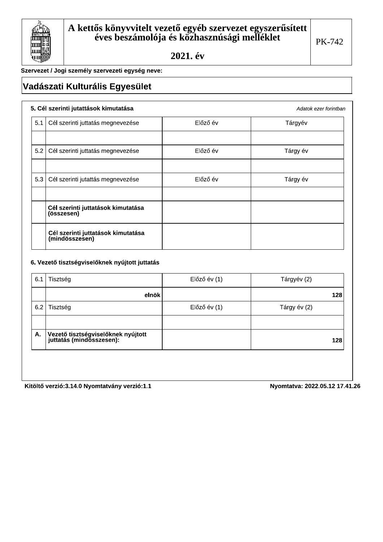

Adatok ezer forintban

Szervezet / Jogi személy szervezeti egység neve:

# Vadászati Kulturális Egyesület

#### 5. Cél szerinti jutattások kimutatása

| 5.1 | Cél szerinti juttatás megnevezése                    | Előző év | Tárgyév  |
|-----|------------------------------------------------------|----------|----------|
|     |                                                      |          |          |
| 5.2 | Cél szerinti juttatás megnevezése                    | Előző év | Tárgy év |
|     |                                                      |          |          |
| 5.3 | Cél szerinti jutattás megnevezése                    | Előző év | Tárgy év |
|     |                                                      |          |          |
|     | Cél szerinti juttatások kimutatása<br>(összesen)     |          |          |
|     | Cél szerinti juttatások kimutatása<br>(mindösszesen) |          |          |

#### 6. Vezető tisztségviselőknek nyújtott juttatás

| elnök                                                            |              | 128          |
|------------------------------------------------------------------|--------------|--------------|
| Tisztség                                                         | Előző év (1) | Tárgy év (2) |
|                                                                  |              |              |
| Vezető tisztségviselőknek nyújtott<br>│ juttatás (mindösszesen): |              | 128          |
|                                                                  |              |              |

Kitöltő verzió:3.14.0 Nyomtatvány verzió:1.1